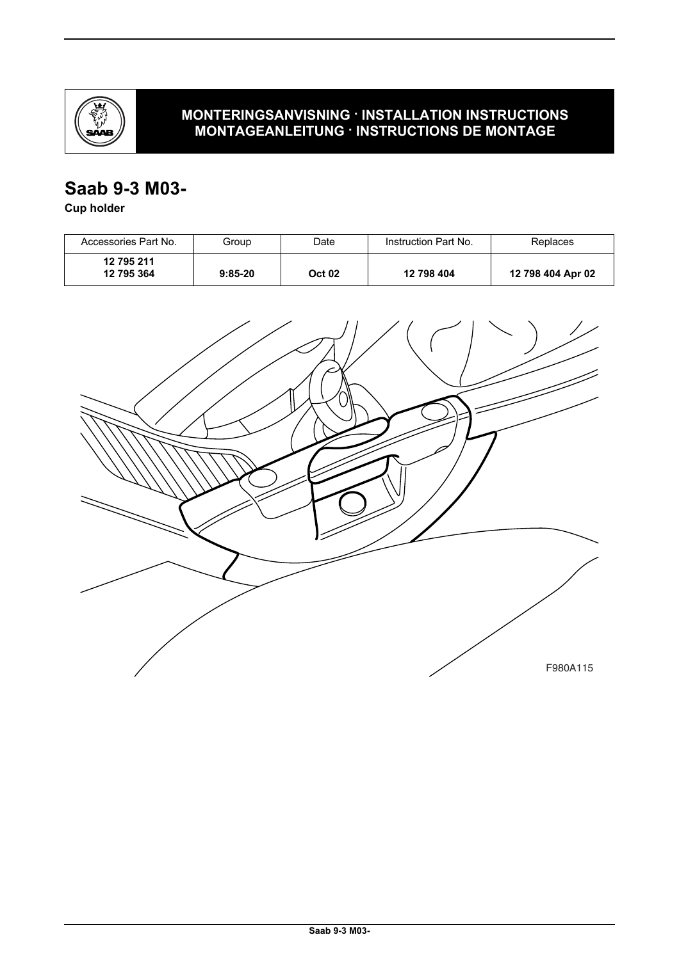

## **MONTERINGSANVISNING · INSTALLATION INSTRUCTIONS MONTAGEANLEITUNG · INSTRUCTIONS DE MONTAGE**

# **Saab 9-3 M03-**

**Cup holder**

| Accessories Part No.     | Group     | Date          | Instruction Part No. | Replaces          |
|--------------------------|-----------|---------------|----------------------|-------------------|
| 12 795 211<br>12 795 364 | $9:85-20$ | <b>Oct 02</b> | 12 798 404           | 12 798 404 Apr 02 |

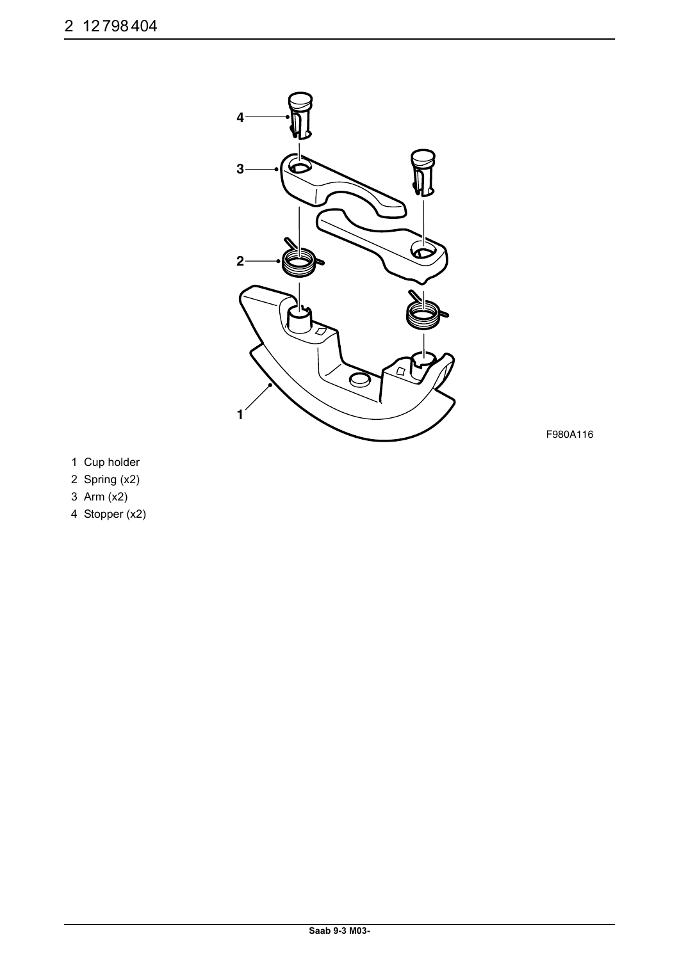

F980A116

- 1 Cup holder
- 2 Spring (x2)
- 3 Arm (x2)
- 4 Stopper (x2)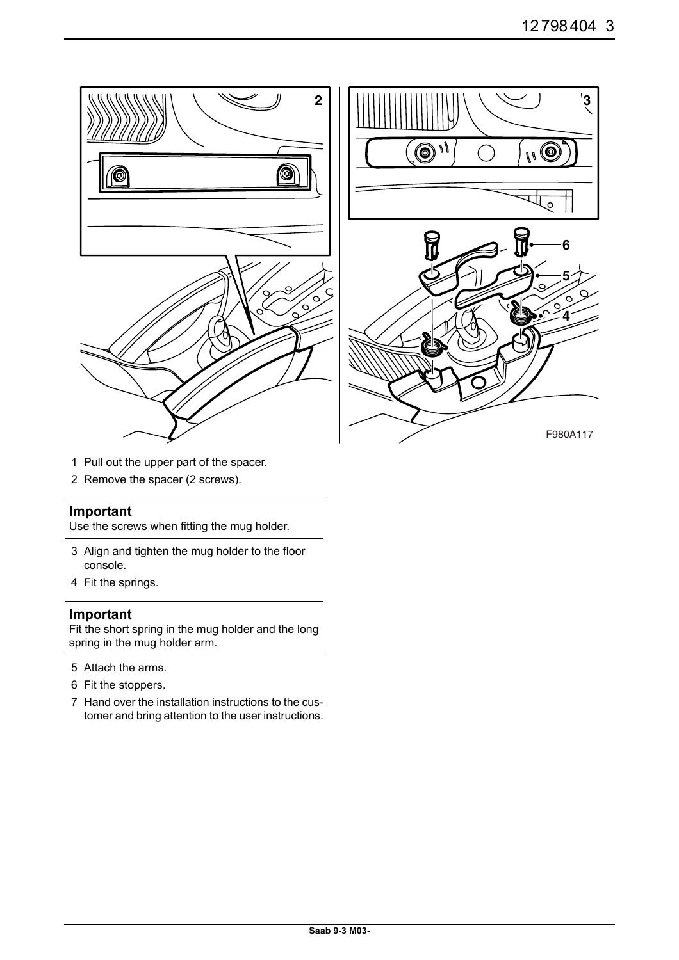

- 1 Pull out the upper part of the spacer.
- 2 Remove the spacer (2 screws).

#### **Important**

Use the screws when fitting the mug holder.

- 3 Align and tighten the mug holder to the floor console.
- 4 Fit the springs.

#### **Important**

Fit the short spring in the mug holder and the long spring in the mug holder arm.

- 5 Attach the arms.
- 6 Fit the stoppers.
- 7 Hand over the installation instructions to the customer and bring attention to the user instructions.